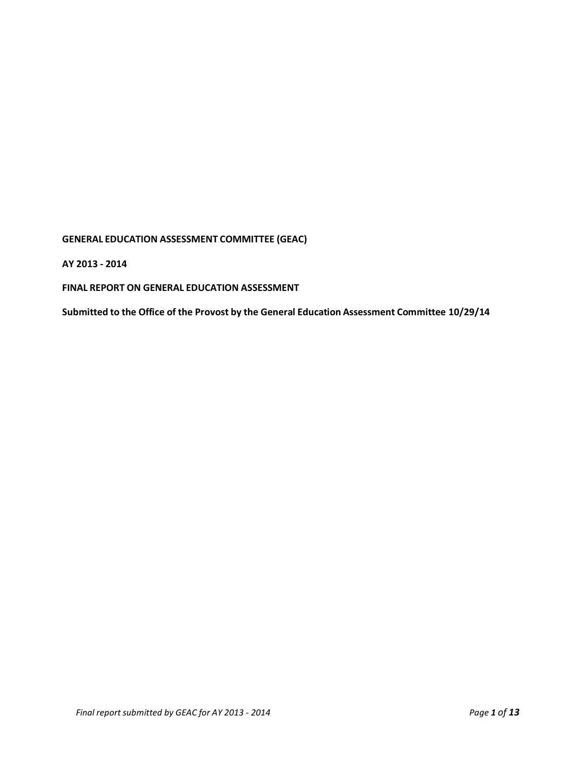**GENERAL EDUCATION ASSESSMENT COMMITTEE (GEAC)** 

**AY 2013 - 2014**

**FINAL REPORT ON GENERAL EDUCATION ASSESSMENT**

**Submitted to the Office of the Provost by the General Education Assessment Committee 10/29/14**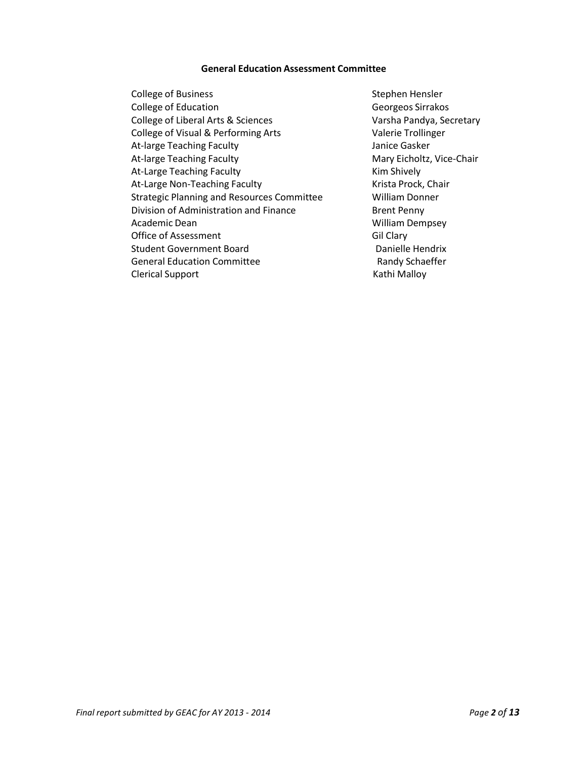### **General Education Assessment Committee**

College of Business and Stephen Hensler College of Education College of Education College of Education College of Education College of Education College of College and College of George of George of George of George of George of George of George of George of Geo College of Liberal Arts & Sciences Varsha Pandya, Secretary College of Visual & Performing Arts Valerie Trollinger At-large Teaching Faculty **At-large Teaching Faculty** Janice Gasker At-large Teaching Faculty Mary Eicholtz, Vice-Chair At-Large Teaching Faculty **Kim Shively** Kim Shively At-Large Non-Teaching Faculty Krista Prock, Chair Strategic Planning and Resources Committee William Donner Division of Administration and Finance Brent Penny Academic Dean Nilliam Dempsey Office of Assessment Gil Clary Student Government Board **Danielle Hendrix** General Education Committee **Randy Schaeffer** Clerical Support **Kathi Malloy**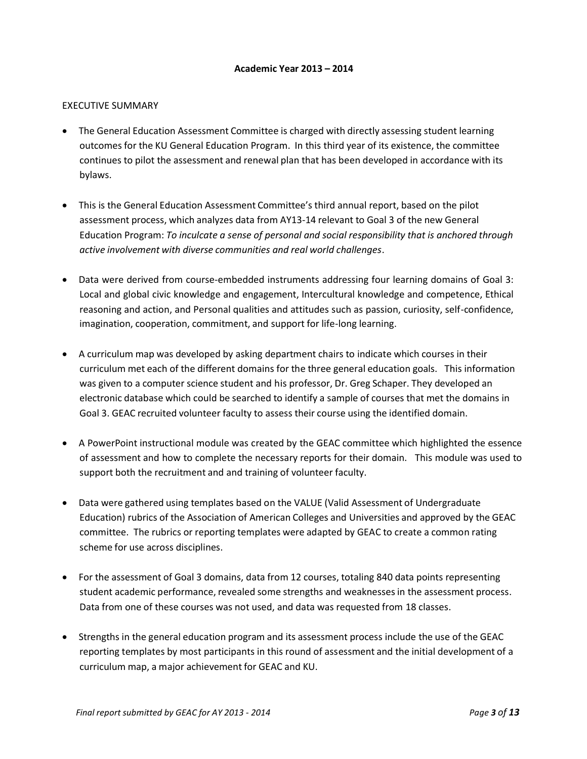## **Academic Year 2013 – 2014**

## EXECUTIVE SUMMARY

- The General Education Assessment Committee is charged with directly assessing student learning outcomes for the KU General Education Program. In this third year of its existence, the committee continues to pilot the assessment and renewal plan that has been developed in accordance with its bylaws.
- This is the General Education Assessment Committee's third annual report, based on the pilot assessment process, which analyzes data from AY13-14 relevant to Goal 3 of the new General Education Program: *To inculcate a sense of personal and social responsibility that is anchored through active involvement with diverse communities and real world challenges*.
- Data were derived from course-embedded instruments addressing four learning domains of Goal 3: Local and global civic knowledge and engagement, Intercultural knowledge and competence, Ethical reasoning and action, and Personal qualities and attitudes such as passion, curiosity, self-confidence, imagination, cooperation, commitment, and support for life-long learning.
- A curriculum map was developed by asking department chairs to indicate which courses in their curriculum met each of the different domains for the three general education goals. This information was given to a computer science student and his professor, Dr. Greg Schaper. They developed an electronic database which could be searched to identify a sample of courses that met the domains in Goal 3. GEAC recruited volunteer faculty to assess their course using the identified domain.
- A PowerPoint instructional module was created by the GEAC committee which highlighted the essence of assessment and how to complete the necessary reports for their domain. This module was used to support both the recruitment and and training of volunteer faculty.
- Data were gathered using templates based on the VALUE (Valid Assessment of Undergraduate Education) rubrics of the Association of American Colleges and Universities and approved by the GEAC committee. The rubrics or reporting templates were adapted by GEAC to create a common rating scheme for use across disciplines.
- For the assessment of Goal 3 domains, data from 12 courses, totaling 840 data points representing student academic performance, revealed some strengths and weaknesses in the assessment process. Data from one of these courses was not used, and data was requested from 18 classes.
- Strengths in the general education program and its assessment process include the use of the GEAC reporting templates by most participants in this round of assessment and the initial development of a curriculum map, a major achievement for GEAC and KU.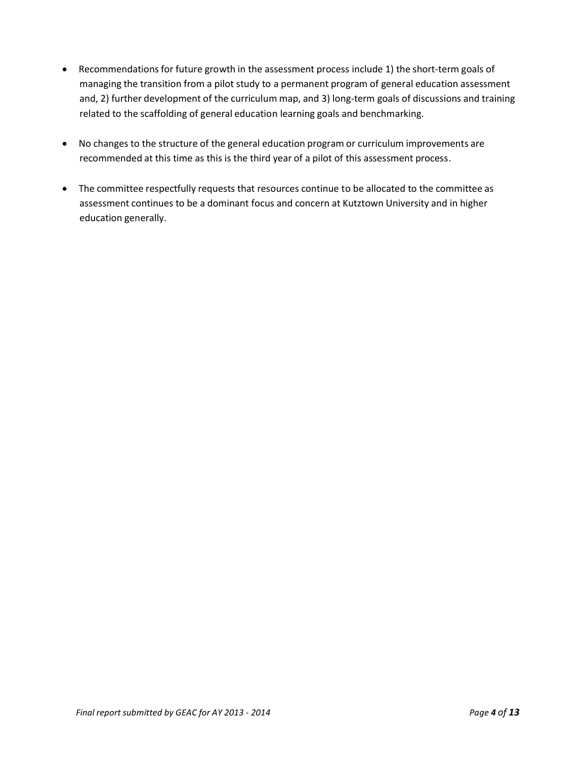- Recommendations for future growth in the assessment process include 1) the short-term goals of managing the transition from a pilot study to a permanent program of general education assessment and, 2) further development of the curriculum map, and 3) long-term goals of discussions and training related to the scaffolding of general education learning goals and benchmarking.
- No changes to the structure of the general education program or curriculum improvements are recommended at this time as this is the third year of a pilot of this assessment process.
- The committee respectfully requests that resources continue to be allocated to the committee as assessment continues to be a dominant focus and concern at Kutztown University and in higher education generally.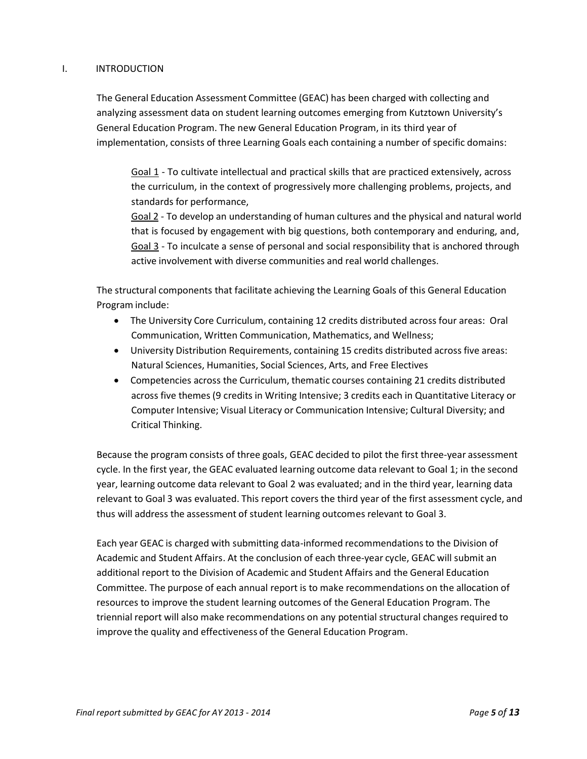## I. INTRODUCTION

The General Education Assessment Committee (GEAC) has been charged with collecting and analyzing assessment data on student learning outcomes emerging from Kutztown University's General Education Program. The new General Education Program, in its third year of implementation, consists of three Learning Goals each containing a number of specific domains:

Goal 1 - To cultivate intellectual and practical skills that are practiced extensively, across the curriculum, in the context of progressively more challenging problems, projects, and standards for performance,

Goal 2 - To develop an understanding of human cultures and the physical and natural world that is focused by engagement with big questions, both contemporary and enduring, and, Goal 3 - To inculcate a sense of personal and social responsibility that is anchored through active involvement with diverse communities and real world challenges.

The structural components that facilitate achieving the Learning Goals of this General Education Program include:

- The University Core Curriculum, containing 12 credits distributed across four areas: Oral Communication, Written Communication, Mathematics, and Wellness;
- University Distribution Requirements, containing 15 credits distributed across five areas: Natural Sciences, Humanities, Social Sciences, Arts, and Free Electives
- Competencies across the Curriculum, thematic courses containing 21 credits distributed across five themes (9 credits in Writing Intensive; 3 credits each in Quantitative Literacy or Computer Intensive; Visual Literacy or Communication Intensive; Cultural Diversity; and Critical Thinking.

Because the program consists of three goals, GEAC decided to pilot the first three-year assessment cycle. In the first year, the GEAC evaluated learning outcome data relevant to Goal 1; in the second year, learning outcome data relevant to Goal 2 was evaluated; and in the third year, learning data relevant to Goal 3 was evaluated. This report covers the third year of the first assessment cycle, and thus will address the assessment of student learning outcomes relevant to Goal 3.

Each year GEAC is charged with submitting data-informed recommendationsto the Division of Academic and Student Affairs. At the conclusion of each three-year cycle, GEAC will submit an additional report to the Division of Academic and Student Affairs and the General Education Committee. The purpose of each annual report is to make recommendations on the allocation of resources to improve the student learning outcomes of the General Education Program. The triennial report will also make recommendations on any potential structural changes required to improve the quality and effectiveness of the General Education Program.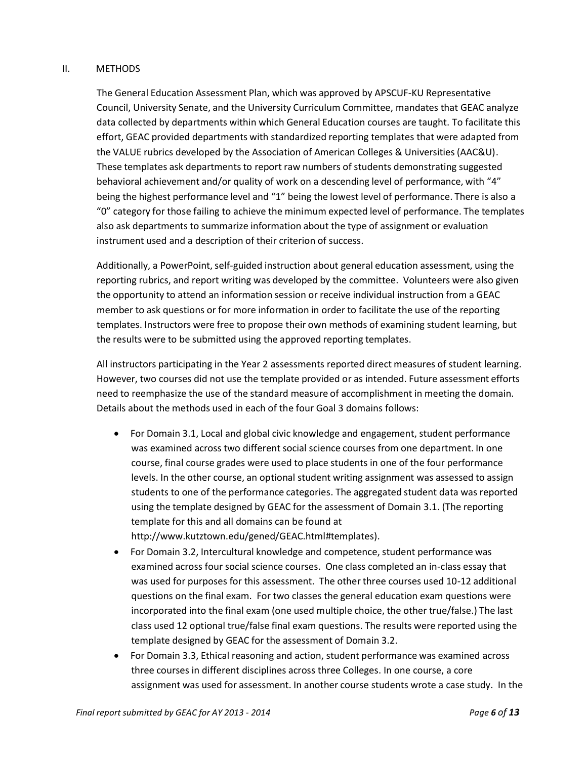## II. METHODS

The General Education Assessment Plan, which was approved by APSCUF-KU Representative Council, University Senate, and the University Curriculum Committee, mandates that GEAC analyze data collected by departments within which General Education courses are taught. To facilitate this effort, GEAC provided departments with standardized reporting templates that were adapted from the VALUE rubrics developed by the Association of American Colleges & Universities (AAC&U). These templates ask departments to report raw numbers of students demonstrating suggested behavioral achievement and/or quality of work on a descending level of performance, with "4" being the highest performance level and "1" being the lowest level of performance. There is also a "0" category for those failing to achieve the minimum expected level of performance. The templates also ask departments to summarize information about the type of assignment or evaluation instrument used and a description of their criterion of success.

Additionally, a PowerPoint, self-guided instruction about general education assessment, using the reporting rubrics, and report writing was developed by the committee. Volunteers were also given the opportunity to attend an information session or receive individual instruction from a GEAC member to ask questions or for more information in order to facilitate the use of the reporting templates. Instructors were free to propose their own methods of examining student learning, but the results were to be submitted using the approved reporting templates.

All instructors participating in the Year 2 assessments reported direct measures of student learning. However, two courses did not use the template provided or as intended. Future assessment efforts need to reemphasize the use of the standard measure of accomplishment in meeting the domain. Details about the methods used in each of the four Goal 3 domains follows:

- For Domain 3.1, Local and global civic knowledge and engagement, student performance was examined across two different social science courses from one department. In one course, final course grades were used to place students in one of the four performance levels. In the other course, an optional student writing assignment was assessed to assign students to one of the performance categories. The aggregated student data was reported using the template designed by GEAC for the assessment of Domain 3.1. (The reporting template for this and all domains can be found at [http://www.kutztown.edu/gened/GEAC.html#templates\).](http://www.kutztown.edu/gened/GEAC.html#templates))
- For Domain 3.2, Intercultural knowledge and competence, student performance was examined across four social science courses. One class completed an in-class essay that was used for purposes for this assessment. The other three courses used 10-12 additional questions on the final exam. For two classes the general education exam questions were incorporated into the final exam (one used multiple choice, the other true/false.) The last class used 12 optional true/false final exam questions. The results were reported using the template designed by GEAC for the assessment of Domain 3.2.
- For Domain 3.3, Ethical reasoning and action, student performance was examined across three courses in different disciplines across three Colleges. In one course, a core assignment was used for assessment. In another course students wrote a case study. In the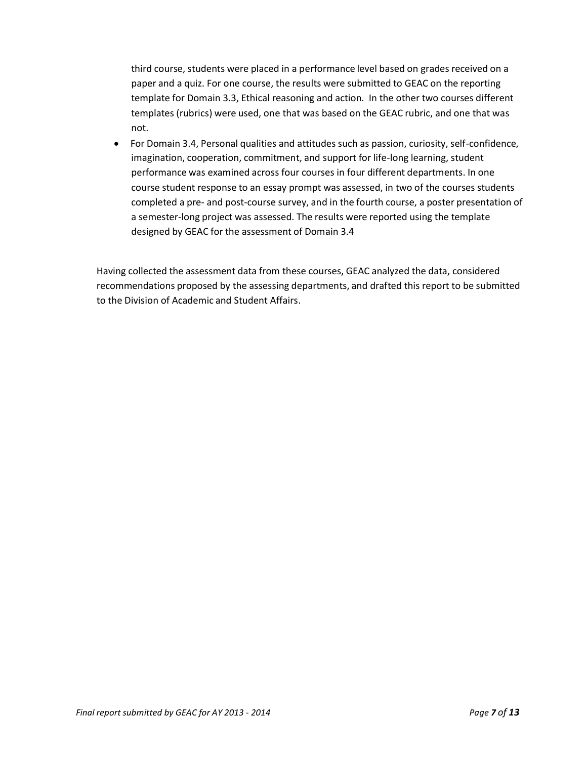third course, students were placed in a performance level based on grades received on a paper and a quiz. For one course, the results were submitted to GEAC on the reporting template for Domain 3.3, Ethical reasoning and action. In the other two courses different templates (rubrics) were used, one that was based on the GEAC rubric, and one that was not.

 For Domain 3.4, Personal qualities and attitudes such as passion, curiosity, self-confidence, imagination, cooperation, commitment, and support for life-long learning, student performance was examined across four courses in four different departments. In one course student response to an essay prompt was assessed, in two of the courses students completed a pre- and post-course survey, and in the fourth course, a poster presentation of a semester-long project was assessed. The results were reported using the template designed by GEAC for the assessment of Domain 3.4

Having collected the assessment data from these courses, GEAC analyzed the data, considered recommendations proposed by the assessing departments, and drafted this report to be submitted to the Division of Academic and Student Affairs.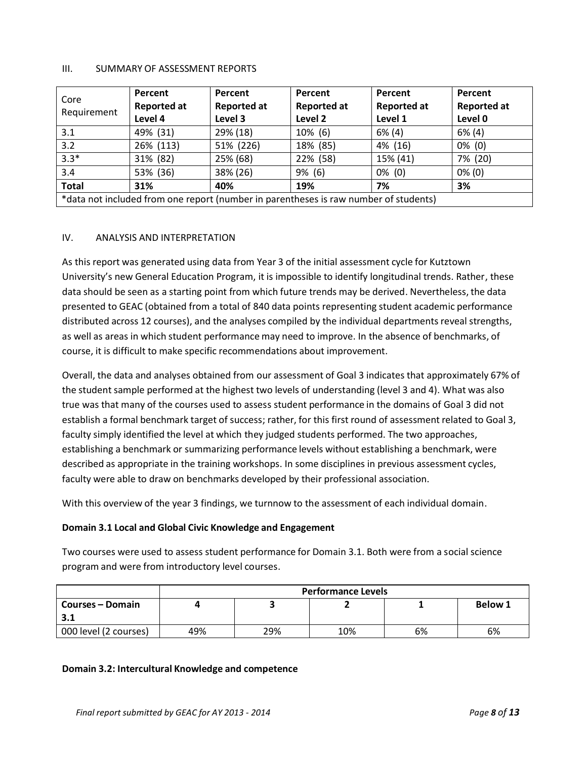### III. SUMMARY OF ASSESSMENT REPORTS

| Core<br>Requirement                                                                  | Percent<br><b>Reported at</b><br>Level 4 | Percent<br><b>Reported at</b><br>Level 3 | Percent<br><b>Reported at</b><br>Level 2 | Percent<br><b>Reported at</b><br>Level 1 | Percent<br><b>Reported at</b><br>Level 0 |  |
|--------------------------------------------------------------------------------------|------------------------------------------|------------------------------------------|------------------------------------------|------------------------------------------|------------------------------------------|--|
| 3.1                                                                                  | 49% (31)                                 | 29% (18)                                 | 10% (6)                                  | $6\%$ (4)                                | $6\%$ (4)                                |  |
| 3.2                                                                                  | 26% (113)                                | 51% (226)                                | 18% (85)                                 | 4% (16)                                  | $0\%$ (0)                                |  |
| $3.3*$                                                                               | 31% (82)                                 | 25% (68)                                 | 22% (58)                                 | 15% (41)                                 | 7% (20)                                  |  |
| 3.4                                                                                  | 53% (36)                                 | 38% (26)                                 | $9\%$ (6)                                | $0\%$ (0)                                | $0\%$ (0)                                |  |
| <b>Total</b>                                                                         | 31%                                      | 40%                                      | 19%                                      | 7%                                       | 3%                                       |  |
| *data not included from one report (number in parentheses is raw number of students) |                                          |                                          |                                          |                                          |                                          |  |

## IV. ANALYSIS AND INTERPRETATION

As this report was generated using data from Year 3 of the initial assessment cycle for Kutztown University's new General Education Program, it is impossible to identify longitudinal trends. Rather, these data should be seen as a starting point from which future trends may be derived. Nevertheless, the data presented to GEAC (obtained from a total of 840 data points representing student academic performance distributed across 12 courses), and the analyses compiled by the individual departments reveal strengths, as well as areas in which student performance may need to improve. In the absence of benchmarks, of course, it is difficult to make specific recommendations about improvement.

Overall, the data and analyses obtained from our assessment of Goal 3 indicates that approximately 67% of the student sample performed at the highest two levels of understanding (level 3 and 4). What was also true was that many of the courses used to assess student performance in the domains of Goal 3 did not establish a formal benchmark target of success; rather, for this first round of assessment related to Goal 3, faculty simply identified the level at which they judged students performed. The two approaches, establishing a benchmark or summarizing performance levels without establishing a benchmark, were described as appropriate in the training workshops. In some disciplines in previous assessment cycles, faculty were able to draw on benchmarks developed by their professional association.

With this overview of the year 3 findings, we turnnow to the assessment of each individual domain.

#### **Domain 3.1 Local and Global Civic Knowledge and Engagement**

Two courses were used to assess student performance for Domain 3.1. Both were from a social science program and were from introductory level courses.

|                         | <b>Performance Levels</b> |     |     |    |                |  |
|-------------------------|---------------------------|-----|-----|----|----------------|--|
| <b>Courses – Domain</b> |                           |     |     |    | <b>Below 1</b> |  |
| 3.1                     |                           |     |     |    |                |  |
| 000 level (2 courses)   | 49%                       | 29% | 10% | 6% | 6%             |  |

#### **Domain 3.2: Intercultural Knowledge and competence**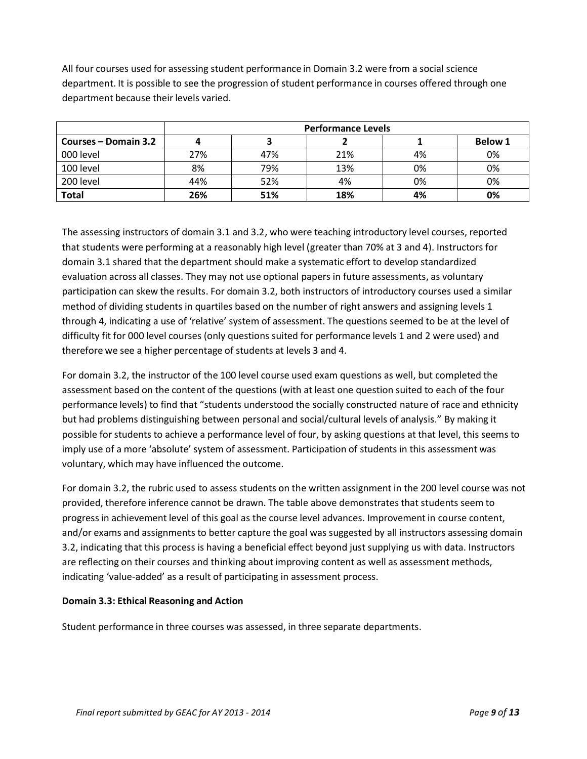All four courses used for assessing student performance in Domain 3.2 were from a social science department. It is possible to see the progression of student performance in courses offered through one department because their levels varied.

|                      | <b>Performance Levels</b> |     |     |    |                |  |
|----------------------|---------------------------|-----|-----|----|----------------|--|
| Courses – Domain 3.2 |                           |     |     |    | <b>Below 1</b> |  |
| 000 level            | 27%                       | 47% | 21% | 4% | 0%             |  |
| 100 level            | 8%                        | 79% | 13% | 0% | 0%             |  |
| 200 level            | 44%                       | 52% | 4%  | 0% | 0%             |  |
| <b>Total</b>         | 26%                       | 51% | 18% | 4% | 0%             |  |

The assessing instructors of domain 3.1 and 3.2, who were teaching introductory level courses, reported that students were performing at a reasonably high level (greater than 70% at 3 and 4). Instructors for domain 3.1 shared that the department should make a systematic effort to develop standardized evaluation across all classes. They may not use optional papers in future assessments, as voluntary participation can skew the results. For domain 3.2, both instructors of introductory courses used a similar method of dividing students in quartiles based on the number of right answers and assigning levels 1 through 4, indicating a use of 'relative' system of assessment. The questions seemed to be at the level of difficulty fit for 000 level courses (only questions suited for performance levels 1 and 2 were used) and therefore we see a higher percentage of students at levels 3 and 4.

For domain 3.2, the instructor of the 100 level course used exam questions as well, but completed the assessment based on the content of the questions (with at least one question suited to each of the four performance levels) to find that "students understood the socially constructed nature of race and ethnicity but had problems distinguishing between personal and social/cultural levels of analysis." By making it possible for students to achieve a performance level of four, by asking questions at that level, this seems to imply use of a more 'absolute' system of assessment. Participation of students in this assessment was voluntary, which may have influenced the outcome.

For domain 3.2, the rubric used to assess students on the written assignment in the 200 level course was not provided, therefore inference cannot be drawn. The table above demonstrates that students seem to progress in achievement level of this goal as the course level advances. Improvement in course content, and/or exams and assignments to better capture the goal was suggested by all instructors assessing domain 3.2, indicating that this process is having a beneficial effect beyond just supplying us with data. Instructors are reflecting on their courses and thinking about improving content as well as assessment methods, indicating 'value-added' as a result of participating in assessment process.

## **Domain 3.3: Ethical Reasoning and Action**

Student performance in three courses was assessed, in three separate departments.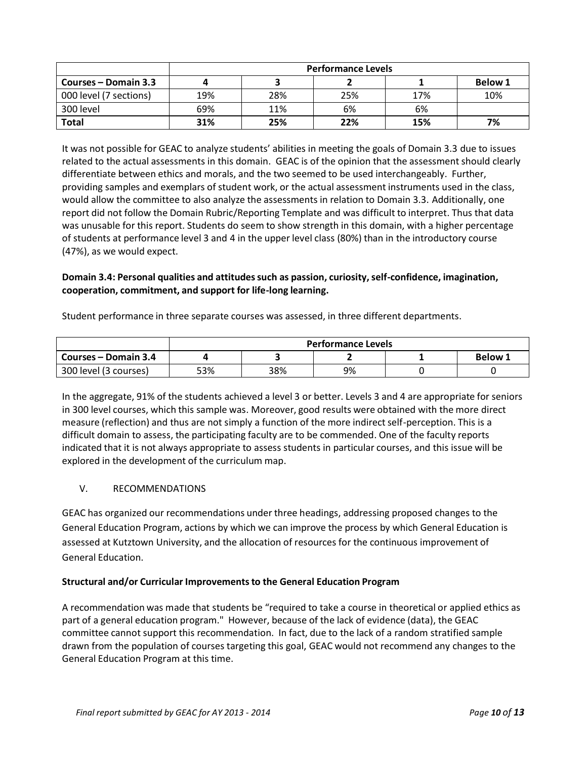|                        | <b>Performance Levels</b> |     |     |     |                |  |
|------------------------|---------------------------|-----|-----|-----|----------------|--|
| Courses – Domain 3.3   |                           |     |     |     | <b>Below 1</b> |  |
| 000 level (7 sections) | 19%                       | 28% | 25% | 17% | 10%            |  |
| 300 level              | 69%                       | 11% | 6%  | 6%  |                |  |
| <b>Total</b>           | 31%                       | 25% | 22% | 15% | 7%             |  |

It was not possible for GEAC to analyze students' abilities in meeting the goals of Domain 3.3 due to issues related to the actual assessments in this domain. GEAC is of the opinion that the assessment should clearly differentiate between ethics and morals, and the two seemed to be used interchangeably. Further, providing samples and exemplars of student work, or the actual assessment instruments used in the class, would allow the committee to also analyze the assessments in relation to Domain 3.3. Additionally, one report did not follow the Domain Rubric/Reporting Template and was difficult to interpret. Thus that data was unusable for this report. Students do seem to show strength in this domain, with a higher percentage of students at performance level 3 and 4 in the upper level class (80%) than in the introductory course (47%), as we would expect.

# **Domain 3.4: Personal qualities and attitudessuch as passion, curiosity,self-confidence, imagination, cooperation, commitment, and support for life-long learning.**

Student performance in three separate courses was assessed, in three different departments.

|                       | <b>Performance Levels</b> |     |    |  |                |  |
|-----------------------|---------------------------|-----|----|--|----------------|--|
| Courses – Domain 3.4  |                           |     |    |  | <b>Below 1</b> |  |
| 300 level (3 courses) | 53%                       | 38% | 9% |  |                |  |

In the aggregate, 91% of the students achieved a level 3 or better. Levels 3 and 4 are appropriate for seniors in 300 level courses, which this sample was. Moreover, good results were obtained with the more direct measure (reflection) and thus are not simply a function of the more indirect self-perception. This is a difficult domain to assess, the participating faculty are to be commended. One of the faculty reports indicated that it is not always appropriate to assess students in particular courses, and this issue will be explored in the development of the curriculum map.

# V. RECOMMENDATIONS

GEAC has organized our recommendations under three headings, addressing proposed changes to the General Education Program, actions by which we can improve the process by which General Education is assessed at Kutztown University, and the allocation of resources for the continuous improvement of General Education.

## **Structural and/or Curricular Improvementsto the General Education Program**

A recommendation was made that students be "required to take a course in theoretical or applied ethics as part of a general education program." However, because of the lack of evidence (data), the GEAC committee cannot support this recommendation. In fact, due to the lack of a random stratified sample drawn from the population of courses targeting this goal, GEAC would not recommend any changes to the General Education Program at this time.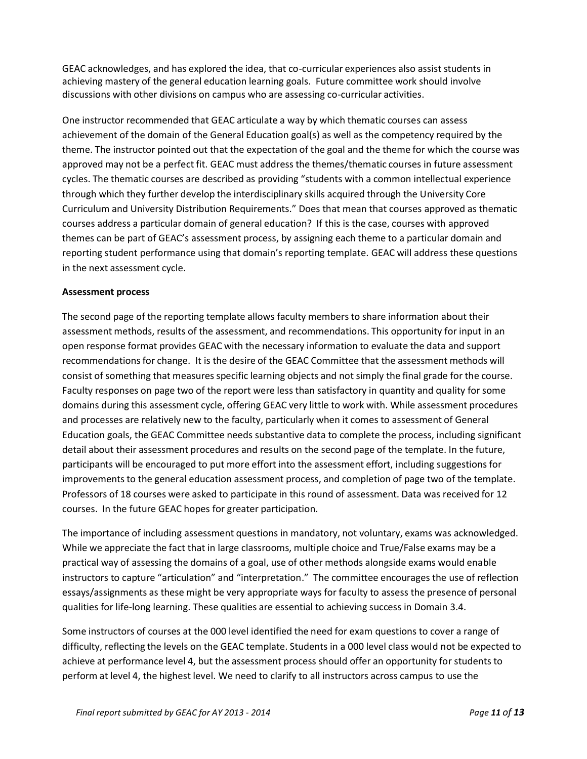GEAC acknowledges, and has explored the idea, that co-curricular experiences also assist students in achieving mastery of the general education learning goals. Future committee work should involve discussions with other divisions on campus who are assessing co-curricular activities.

One instructor recommended that GEAC articulate a way by which thematic courses can assess achievement of the domain of the General Education goal(s) as well as the competency required by the theme. The instructor pointed out that the expectation of the goal and the theme for which the course was approved may not be a perfect fit. GEAC must address the themes/thematic courses in future assessment cycles. The thematic courses are described as providing "students with a common intellectual experience through which they further develop the interdisciplinary skills acquired through the University Core Curriculum and University Distribution Requirements." Does that mean that courses approved as thematic courses address a particular domain of general education? If this is the case, courses with approved themes can be part of GEAC's assessment process, by assigning each theme to a particular domain and reporting student performance using that domain's reporting template. GEAC will address these questions in the next assessment cycle.

## **Assessment process**

The second page of the reporting template allows faculty members to share information about their assessment methods, results of the assessment, and recommendations. This opportunity for input in an open response format provides GEAC with the necessary information to evaluate the data and support recommendationsfor change. It is the desire of the GEAC Committee that the assessment methods will consist of something that measures specific learning objects and not simply the final grade for the course. Faculty responses on page two of the report were less than satisfactory in quantity and quality forsome domains during this assessment cycle, offering GEAC very little to work with. While assessment procedures and processes are relatively new to the faculty, particularly when it comes to assessment of General Education goals, the GEAC Committee needs substantive data to complete the process, including significant detail about their assessment procedures and results on the second page of the template. In the future, participants will be encouraged to put more effort into the assessment effort, including suggestions for improvements to the general education assessment process, and completion of page two of the template. Professors of 18 courses were asked to participate in this round of assessment. Data was received for 12 courses. In the future GEAC hopes for greater participation.

The importance of including assessment questions in mandatory, not voluntary, exams was acknowledged. While we appreciate the fact that in large classrooms, multiple choice and True/False exams may be a practical way of assessing the domains of a goal, use of other methods alongside exams would enable instructors to capture "articulation" and "interpretation." The committee encourages the use of reflection essays/assignments as these might be very appropriate ways for faculty to assess the presence of personal qualities for life-long learning. These qualities are essential to achieving success in Domain 3.4.

Some instructors of courses at the 000 level identified the need for exam questions to cover a range of difficulty, reflecting the levels on the GEAC template. Students in a 000 level class would not be expected to achieve at performance level 4, but the assessment process should offer an opportunity for students to perform at level 4, the highest level. We need to clarify to all instructors across campus to use the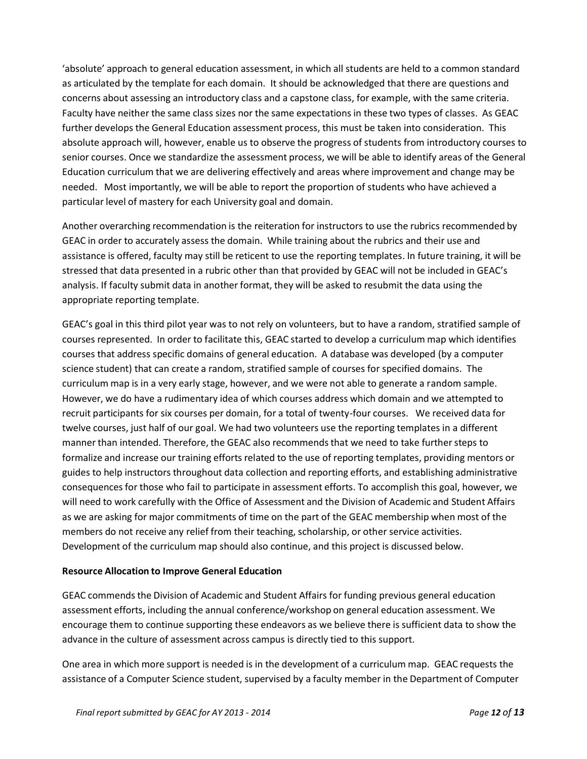'absolute' approach to general education assessment, in which all students are held to a common standard as articulated by the template for each domain. It should be acknowledged that there are questions and concerns about assessing an introductory class and a capstone class, for example, with the same criteria. Faculty have neither the same class sizes nor the same expectations in these two types of classes. As GEAC further develops the General Education assessment process, this must be taken into consideration. This absolute approach will, however, enable us to observe the progress of students from introductory courses to senior courses. Once we standardize the assessment process, we will be able to identify areas of the General Education curriculum that we are delivering effectively and areas where improvement and change may be needed. Most importantly, we will be able to report the proportion of students who have achieved a particular level of mastery for each University goal and domain.

Another overarching recommendation is the reiteration for instructors to use the rubrics recommended by GEAC in order to accurately assess the domain. While training about the rubrics and their use and assistance is offered, faculty may still be reticent to use the reporting templates. In future training, it will be stressed that data presented in a rubric other than that provided by GEAC will not be included in GEAC's analysis. If faculty submit data in another format, they will be asked to resubmit the data using the appropriate reporting template.

GEAC's goal in this third pilot year was to not rely on volunteers, but to have a random, stratified sample of courses represented. In order to facilitate this, GEAC started to develop a curriculum map which identifies courses that address specific domains of general education. A database was developed (by a computer science student) that can create a random, stratified sample of courses for specified domains. The curriculum map is in a very early stage, however, and we were not able to generate a random sample. However, we do have a rudimentary idea of which courses address which domain and we attempted to recruit participants for six courses per domain, for a total of twenty-four courses. We received data for twelve courses, just half of our goal. We had two volunteers use the reporting templates in a different manner than intended. Therefore, the GEAC also recommends that we need to take further steps to formalize and increase our training efforts related to the use of reporting templates, providing mentors or guides to help instructors throughout data collection and reporting efforts, and establishing administrative consequences for those who fail to participate in assessment efforts. To accomplish this goal, however, we will need to work carefully with the Office of Assessment and the Division of Academic and Student Affairs as we are asking for major commitments of time on the part of the GEAC membership when most of the members do not receive any relief from their teaching, scholarship, or other service activities. Development of the curriculum map should also continue, and this project is discussed below.

## **Resource Allocation to Improve General Education**

GEAC commends the Division of Academic and Student Affairs for funding previous general education assessment efforts, including the annual conference/workshop on general education assessment. We encourage them to continue supporting these endeavors as we believe there is sufficient data to show the advance in the culture of assessment across campus is directly tied to this support.

One area in which more support is needed is in the development of a curriculum map. GEAC requests the assistance of a Computer Science student, supervised by a faculty member in the Department of Computer